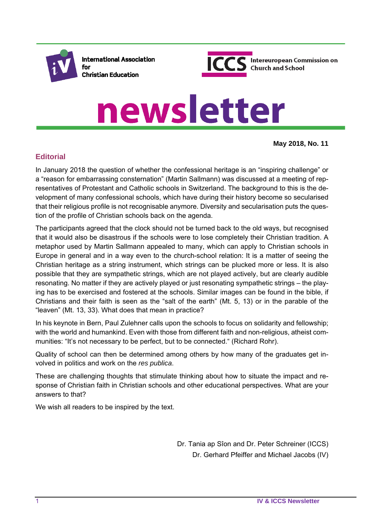

**International Association** for **Christian Education** 



# newsletter

**May 2018, No. 11**

## **Editorial**

In January 2018 the question of whether the confessional heritage is an "inspiring challenge" or a "reason for embarrassing consternation" (Martin Sallmann) was discussed at a meeting of representatives of Protestant and Catholic schools in Switzerland. The background to this is the development of many confessional schools, which have during their history become so secularised that their religious profile is not recognisable anymore. Diversity and secularisation puts the question of the profile of Christian schools back on the agenda.

The participants agreed that the clock should not be turned back to the old ways, but recognised that it would also be disastrous if the schools were to lose completely their Christian tradition. A metaphor used by Martin Sallmann appealed to many, which can apply to Christian schools in Europe in general and in a way even to the church-school relation: It is a matter of seeing the Christian heritage as a string instrument, which strings can be plucked more or less. It is also possible that they are sympathetic strings, which are not played actively, but are clearly audible resonating. No matter if they are actively played or just resonating sympathetic strings – the playing has to be exercised and fostered at the schools. Similar images can be found in the bible, if Christians and their faith is seen as the "salt of the earth" (Mt. 5, 13) or in the parable of the "leaven" (Mt. 13, 33). What does that mean in practice?

In his keynote in Bern, Paul Zulehner calls upon the schools to focus on solidarity and fellowship; with the world and humankind. Even with those from different faith and non-religious, atheist communities: "It's not necessary to be perfect, but to be connected." (Richard Rohr).

Quality of school can then be determined among others by how many of the graduates get involved in politics and work on the *res publica*.

These are challenging thoughts that stimulate thinking about how to situate the impact and response of Christian faith in Christian schools and other educational perspectives. What are your answers to that?

We wish all readers to be inspired by the text.

Dr. Tania ap Sîon and Dr. Peter Schreiner (ICCS) Dr. Gerhard Pfeiffer and Michael Jacobs (IV)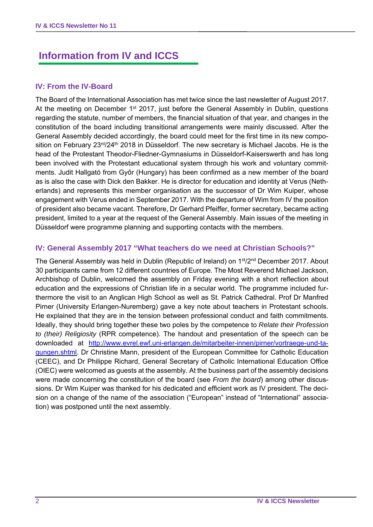# **Information from IV and ICCS**

#### **IV: From the IV-Board**

The Board of the International Association has met twice since the last newsletter of August 2017. At the meeting on December 1<sup>st</sup> 2017, just before the General Assembly in Dublin, questions regarding the statute, number of members, the financial situation of that year, and changes in the constitution of the board including transitional arrangements were mainly discussed. After the General Assembly decided accordingly, the board could meet for the first time in its new composition on February  $23^{rd}/24^{th}$  2018 in Düsseldorf. The new secretary is Michael Jacobs. He is the head of the Protestant Theodor-Fliedner-Gymnasiums in Düsseldorf-Kaiserswerth and has long been involved with the Protestant educational system through his work and voluntary commitments. Judit Hallgató from Győr (Hungary) has been confirmed as a new member of the board as is also the case with Dick den Bakker. He is director for education and identity at Verus (Netherlands) and represents this member organisation as the successor of Dr Wim Kuiper, whose engagement with Verus ended in September 2017. With the departure of Wim from IV the position of president also became vacant. Therefore, Dr Gerhard Pfeiffer, former secretary, became acting president, limited to a year at the request of the General Assembly. Main issues of the meeting in Düsseldorf were programme planning and supporting contacts with the members.

#### **IV: General Assembly 2017 "What teachers do we need at Christian Schools?"**

The General Assembly was held in Dublin (Republic of Ireland) on 1st/2nd December 2017. About 30 participants came from 12 different countries of Europe. The Most Reverend Michael Jackson, Archbishop of Dublin, welcomed the assembly on Friday evening with a short reflection about education and the expressions of Christian life in a secular world. The programme included furthermore the visit to an Anglican High School as well as St. Patrick Cathedral. Prof Dr Manfred Pirner (University Erlangen-Nuremberg) gave a key note about teachers in Protestant schools. He explained that they are in the tension between professional conduct and faith commitments. Ideally, they should bring together these two poles by the competence to *Relate their Profession to (their) Religiosity* (RPR competence). The handout and presentation of the speech can be downloaded at http://www.evrel.ewf.uni-erlangen.de/mitarbeiter-innen/pirner/vortraege-und-tagungen.shtml. Dr Christine Mann, president of the European Committee for Catholic Education (CEEC), and Dr Philippe Richard, General Secretary of Catholic International Education Office (OIEC) were welcomed as guests at the assembly. At the business part of the assembly decisions were made concerning the constitution of the board (see *From the board*) among other discussions. Dr Wim Kuiper was thanked for his dedicated and efficient work as IV president. The decision on a change of the name of the association ("European" instead of "International" association) was postponed until the next assembly.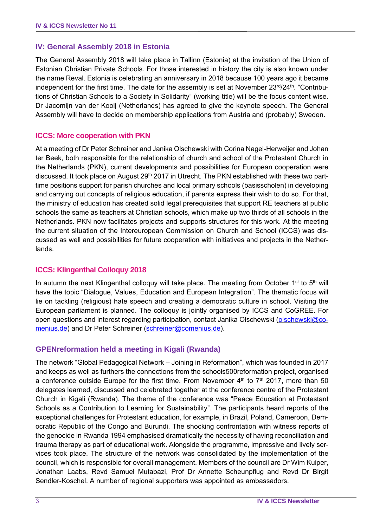#### **IV: General Assembly 2018 in Estonia**

The General Assembly 2018 will take place in Tallinn (Estonia) at the invitation of the Union of Estonian Christian Private Schools. For those interested in history the city is also known under the name Reval. Estonia is celebrating an anniversary in 2018 because 100 years ago it became independent for the first time. The date for the assembly is set at November 23rd/24th. "Contributions of Christian Schools to a Society in Solidarity" (working title) will be the focus content wise. Dr Jacomijn van der Kooij (Netherlands) has agreed to give the keynote speech. The General Assembly will have to decide on membership applications from Austria and (probably) Sweden.

#### **ICCS: More cooperation with PKN**

At a meeting of Dr Peter Schreiner and Janika Olschewski with Corina Nagel-Herweijer and Johan ter Beek, both responsible for the relationship of church and school of the Protestant Church in the Netherlands (PKN), current developments and possibilities for European cooperation were discussed. It took place on August 29<sup>th</sup> 2017 in Utrecht. The PKN established with these two parttime positions support for parish churches and local primary schools (basisscholen) in developing and carrying out concepts of religious education, if parents express their wish to do so. For that, the ministry of education has created solid legal prerequisites that support RE teachers at public schools the same as teachers at Christian schools, which make up two thirds of all schools in the Netherlands. PKN now facilitates projects and supports structures for this work. At the meeting the current situation of the Intereuropean Commission on Church and School (ICCS) was discussed as well and possibilities for future cooperation with initiatives and projects in the Netherlands.

#### **ICCS: Klingenthal Colloquy 2018**

In autumn the next Klingenthal colloquy will take place. The meeting from October 1<sup>st</sup> to 5<sup>th</sup> will have the topic "Dialogue, Values, Education and European Integration". The thematic focus will lie on tackling (religious) hate speech and creating a democratic culture in school. Visiting the European parliament is planned. The colloquy is jointly organised by ICCS and CoGREE. For open questions and interest regarding participation, contact Janika Olschewski (olschewski@comenius.de) and Dr Peter Schreiner (schreiner@comenius.de).

#### **GPENreformation held a meeting in Kigali (Rwanda)**

The network "Global Pedagogical Network – Joining in Reformation", which was founded in 2017 and keeps as well as furthers the connections from the schools500reformation project, organised a conference outside Europe for the first time. From November  $4<sup>th</sup>$  to  $7<sup>th</sup>$  2017, more than 50 delegates learned, discussed and celebrated together at the conference centre of the Protestant Church in Kigali (Rwanda). The theme of the conference was "Peace Education at Protestant Schools as a Contribution to Learning for Sustainability". The participants heard reports of the exceptional challenges for Protestant education, for example, in Brazil, Poland, Cameroon, Democratic Republic of the Congo and Burundi. The shocking confrontation with witness reports of the genocide in Rwanda 1994 emphasised dramatically the necessity of having reconciliation and trauma therapy as part of educational work. Alongside the programme, impressive and lively services took place. The structure of the network was consolidated by the implementation of the council, which is responsible for overall management. Members of the council are Dr Wim Kuiper, Jonathan Laabs, Revd Samuel Mutabazi, Prof Dr Annette Scheunpflug and Revd Dr Birgit Sendler-Koschel. A number of regional supporters was appointed as ambassadors.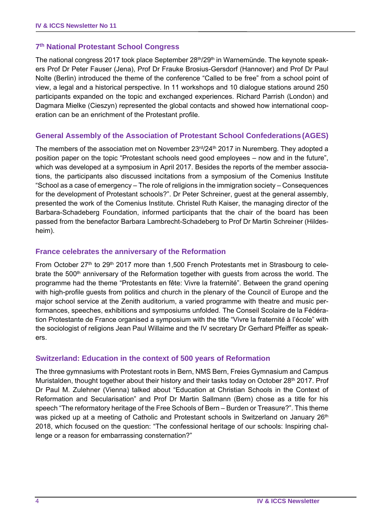#### **7th National Protestant School Congress**

The national congress 2017 took place September 28<sup>th</sup>/29<sup>th</sup> in Warnemünde. The keynote speakers Prof Dr Peter Fauser (Jena), Prof Dr Frauke Brosius-Gersdorf (Hannover) and Prof Dr Paul Nolte (Berlin) introduced the theme of the conference "Called to be free" from a school point of view, a legal and a historical perspective. In 11 workshops and 10 dialogue stations around 250 participants expanded on the topic and exchanged experiences. Richard Parrish (London) and Dagmara Mielke (Cieszyn) represented the global contacts and showed how international cooperation can be an enrichment of the Protestant profile.

#### **General Assembly of the Association of Protestant School Confederations(AGES)**

The members of the association met on November  $23<sup>rd</sup>/24<sup>th</sup>$  2017 in Nuremberg. They adopted a position paper on the topic "Protestant schools need good employees – now and in the future", which was developed at a symposium in April 2017. Besides the reports of the member associations, the participants also discussed incitations from a symposium of the Comenius Institute "School as a case of emergency – The role of religions in the immigration society – Consequences for the development of Protestant schools?". Dr Peter Schreiner, guest at the general assembly, presented the work of the Comenius Institute. Christel Ruth Kaiser, the managing director of the Barbara-Schadeberg Foundation, informed participants that the chair of the board has been passed from the benefactor Barbara Lambrecht-Schadeberg to Prof Dr Martin Schreiner (Hildesheim).

#### **France celebrates the anniversary of the Reformation**

From October  $27<sup>th</sup>$  to  $29<sup>th</sup>$  2017 more than 1,500 French Protestants met in Strasbourg to celebrate the  $500<sup>th</sup>$  anniversary of the Reformation together with guests from across the world. The programme had the theme "Protestants en fête: Vivre la fraternité". Between the grand opening with high-profile guests from politics and church in the plenary of the Council of Europe and the major school service at the Zenith auditorium, a varied programme with theatre and music performances, speeches, exhibitions and symposiums unfolded. The Conseil Scolaire de la Fédération Protestante de France organised a symposium with the title "Vivre la fraternité à l'école" with the sociologist of religions Jean Paul Willaime and the IV secretary Dr Gerhard Pfeiffer as speakers.

#### **Switzerland: Education in the context of 500 years of Reformation**

The three gymnasiums with Protestant roots in Bern, NMS Bern, Freies Gymnasium and Campus Muristalden, thought together about their history and their tasks today on October 28<sup>th</sup> 2017. Prof Dr Paul M. Zulehner (Vienna) talked about "Education at Christian Schools in the Context of Reformation and Secularisation" and Prof Dr Martin Sallmann (Bern) chose as a title for his speech "The reformatory heritage of the Free Schools of Bern – Burden or Treasure?". This theme was picked up at a meeting of Catholic and Protestant schools in Switzerland on January 26<sup>th</sup> 2018, which focused on the question: "The confessional heritage of our schools: Inspiring challenge or a reason for embarrassing consternation?"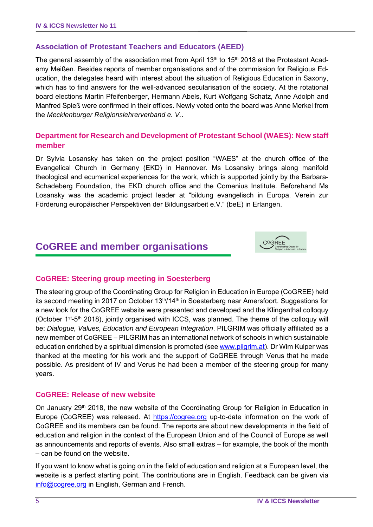## **Association of Protestant Teachers and Educators (AEED)**

The general assembly of the association met from April 13<sup>th</sup> to 15<sup>th</sup> 2018 at the Protestant Academy Meißen. Besides reports of member organisations and of the commission for Religious Education, the delegates heard with interest about the situation of Religious Education in Saxony, which has to find answers for the well-advanced secularisation of the society. At the rotational board elections Martin Pfeifenberger, Hermann Abels, Kurt Wolfgang Schatz, Anne Adolph and Manfred Spieß were confirmed in their offices. Newly voted onto the board was Anne Merkel from the *Mecklenburger Religionslehrerverband e. V.*.

## **Department for Research and Development of Protestant School (WAES): New staff member**

Dr Sylvia Losansky has taken on the project position "WAES" at the church office of the Evangelical Church in Germany (EKD) in Hannover. Ms Losansky brings along manifold theological and ecumenical experiences for the work, which is supported jointly by the Barbara-Schadeberg Foundation, the EKD church office and the Comenius Institute. Beforehand Ms Losansky was the academic project leader at "bildung evangelisch in Europa. Verein zur Förderung europäischer Perspektiven der Bildungsarbeit e.V." (beE) in Erlangen.

# **CoGREE and member organisations**



## **CoGREE: Steering group meeting in Soesterberg**

The steering group of the Coordinating Group for Religion in Education in Europe (CoGREE) held its second meeting in 2017 on October  $13<sup>th</sup>/14<sup>th</sup>$  in Soesterberg near Amersfoort. Suggestions for a new look for the CoGREE website were presented and developed and the Klingenthal colloquy (October 1st-5th 2018), jointly organised with ICCS, was planned. The theme of the colloquy will be: *Dialogue, Values, Education and European Integration*. PILGRIM was officially affiliated as a new member of CoGREE – PILGRIM has an international network of schools in which sustainable education enriched by a spiritual dimension is promoted (see www.pilgrim.at). Dr Wim Kuiper was thanked at the meeting for his work and the support of CoGREE through Verus that he made possible. As president of IV and Verus he had been a member of the steering group for many years.

#### **CoGREE: Release of new website**

On January 29<sup>th</sup> 2018, the new website of the Coordinating Group for Religion in Education in Europe (CoGREE) was released. At https://cogree.org up-to-date information on the work of CoGREE and its members can be found. The reports are about new developments in the field of education and religion in the context of the European Union and of the Council of Europe as well as announcements and reports of events. Also small extras – for example, the book of the month – can be found on the website.

If you want to know what is going on in the field of education and religion at a European level, the website is a perfect starting point. The contributions are in English. Feedback can be given via info@cogree.org in English, German and French.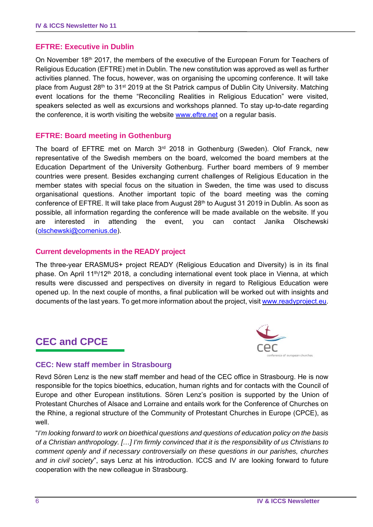#### **EFTRE: Executive in Dublin**

On November 18th 2017, the members of the executive of the European Forum for Teachers of Religious Education (EFTRE) met in Dublin. The new constitution was approved as well as further activities planned. The focus, however, was on organising the upcoming conference. It will take place from August 28<sup>th</sup> to 31<sup>st</sup> 2019 at the St Patrick campus of Dublin City University. Matching event locations for the theme "Reconciling Realities in Religious Education" were visited, speakers selected as well as excursions and workshops planned. To stay up-to-date regarding the conference, it is worth visiting the website www.eftre.net on a regular basis.

#### **EFTRE: Board meeting in Gothenburg**

The board of EFTRE met on March  $3<sup>rd</sup>$  2018 in Gothenburg (Sweden). Olof Franck, new representative of the Swedish members on the board, welcomed the board members at the Education Department of the University Gothenburg. Further board members of 9 member countries were present. Besides exchanging current challenges of Religious Education in the member states with special focus on the situation in Sweden, the time was used to discuss organisational questions. Another important topic of the board meeting was the coming conference of EFTRE. It will take place from August 28<sup>th</sup> to August 31 2019 in Dublin. As soon as possible, all information regarding the conference will be made available on the website. If you are interested in attending the event, you can contact Janika Olschewski (olschewski@comenius.de).

#### **Current developments in the READY project**

The three-year ERASMUS+ project READY (Religious Education and Diversity) is in its final phase. On April 11th/12th 2018, a concluding international event took place in Vienna, at which results were discussed and perspectives on diversity in regard to Religious Education were opened up. In the next couple of months, a final publication will be worked out with insights and documents of the last years. To get more information about the project, visit www.readyproject.eu.

## **CEC and CPCE**



#### **CEC: New staff member in Strasbourg**

Revd Sören Lenz is the new staff member and head of the CEC office in Strasbourg. He is now responsible for the topics bioethics, education, human rights and for contacts with the Council of Europe and other European institutions. Sören Lenz's position is supported by the Union of Protestant Churches of Alsace and Lorraine and entails work for the Conference of Churches on the Rhine, a regional structure of the Community of Protestant Churches in Europe (CPCE), as well.

"*I'm looking forward to work on bioethical questions and questions of education policy on the basis of a Christian anthropology. […] I'm firmly convinced that it is the responsibility of us Christians to comment openly and if necessary controversially on these questions in our parishes, churches and in civil society*", says Lenz at his introduction. ICCS and IV are looking forward to future cooperation with the new colleague in Strasbourg.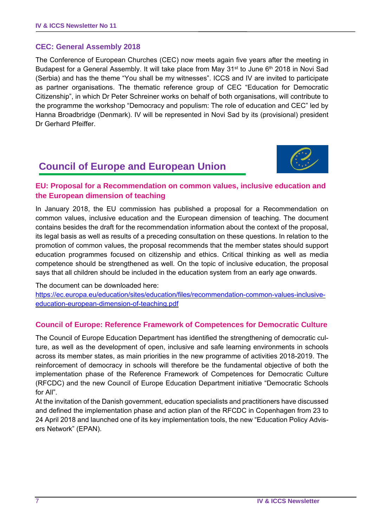#### **CEC: General Assembly 2018**

The Conference of European Churches (CEC) now meets again five years after the meeting in Budapest for a General Assembly. It will take place from May 31<sup>st</sup> to June 6<sup>th</sup> 2018 in Novi Sad (Serbia) and has the theme "You shall be my witnesses". ICCS and IV are invited to participate as partner organisations. The thematic reference group of CEC "Education for Democratic Citizenship", in which Dr Peter Schreiner works on behalf of both organisations, will contribute to the programme the workshop "Democracy and populism: The role of education and CEC" led by Hanna Broadbridge (Denmark). IV will be represented in Novi Sad by its (provisional) president Dr Gerhard Pfeiffer.

# **Council of Europe and European Union**



## **EU: Proposal for a Recommendation on common values, inclusive education and the European dimension of teaching**

In January 2018, the EU commission has published a proposal for a Recommendation on common values, inclusive education and the European dimension of teaching. The document contains besides the draft for the recommendation information about the context of the proposal, its legal basis as well as results of a preceding consultation on these questions. In relation to the promotion of common values, the proposal recommends that the member states should support education programmes focused on citizenship and ethics. Critical thinking as well as media competence should be strengthened as well. On the topic of inclusive education, the proposal says that all children should be included in the education system from an early age onwards.

The document can be downloaded here:

https://ec.europa.eu/education/sites/education/files/recommendation-common-values-inclusiveeducation-european-dimension-of-teaching.pdf

#### **Council of Europe: Reference Framework of Competences for Democratic Culture**

The Council of Europe Education Department has identified the strengthening of democratic culture, as well as the development of open, inclusive and safe learning environments in schools across its member states, as main priorities in the new programme of activities 2018-2019. The reinforcement of democracy in schools will therefore be the fundamental objective of both the implementation phase of the Reference Framework of Competences for Democratic Culture (RFCDC) and the new Council of Europe Education Department initiative "Democratic Schools for All".

At the invitation of the Danish government, education specialists and practitioners have discussed and defined the implementation phase and action plan of the RFCDC in Copenhagen from 23 to 24 April 2018 and launched one of its key implementation tools, the new "Education Policy Advisers Network" (EPAN).